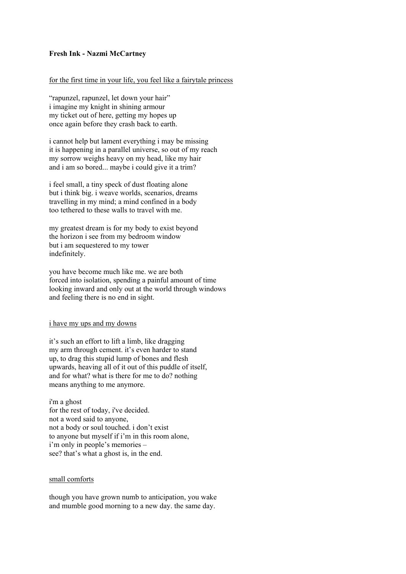### **Fresh Ink - Nazmi McCartney**

# for the first time in your life, you feel like a fairytale princess

"rapunzel, rapunzel, let down your hair" i imagine my knight in shining armour my ticket out of here, getting my hopes up once again before they crash back to earth.

i cannot help but lament everything i may be missing it is happening in a parallel universe, so out of my reach my sorrow weighs heavy on my head, like my hair and i am so bored... maybe i could give it a trim?

i feel small, a tiny speck of dust floating alone but i think big. i weave worlds, scenarios, dreams travelling in my mind; a mind confined in a body too tethered to these walls to travel with me.

my greatest dream is for my body to exist beyond the horizon i see from my bedroom window but i am sequestered to my tower indefinitely.

you have become much like me. we are both forced into isolation, spending a painful amount of time looking inward and only out at the world through windows and feeling there is no end in sight.

#### i have my ups and my downs

it's such an effort to lift a limb, like dragging my arm through cement. it's even harder to stand up, to drag this stupid lump of bones and flesh upwards, heaving all of it out of this puddle of itself, and for what? what is there for me to do? nothing means anything to me anymore.

i'm a ghost for the rest of today, i've decided. not a word said to anyone, not a body or soul touched. i don't exist to anyone but myself if i'm in this room alone, i'm only in people's memories – see? that's what a ghost is, in the end.

### small comforts

though you have grown numb to anticipation, you wake and mumble good morning to a new day. the same day.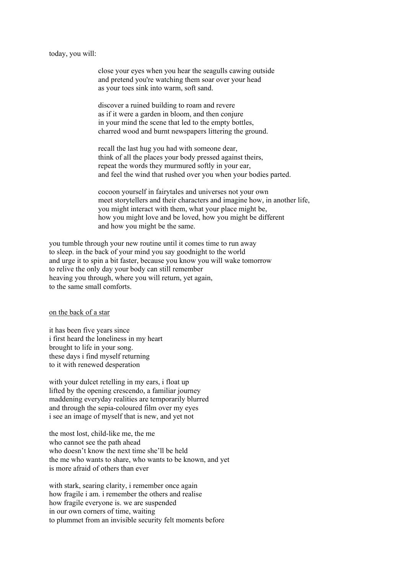today, you will:

close your eyes when you hear the seagulls cawing outside and pretend you're watching them soar over your head as your toes sink into warm, soft sand.

discover a ruined building to roam and revere as if it were a garden in bloom, and then conjure in your mind the scene that led to the empty bottles, charred wood and burnt newspapers littering the ground.

recall the last hug you had with someone dear, think of all the places your body pressed against theirs, repeat the words they murmured softly in your ear, and feel the wind that rushed over you when your bodies parted.

cocoon yourself in fairytales and universes not your own meet storytellers and their characters and imagine how, in another life, you might interact with them, what your place might be, how you might love and be loved, how you might be different and how you might be the same.

you tumble through your new routine until it comes time to run away to sleep. in the back of your mind you say goodnight to the world and urge it to spin a bit faster, because you know you will wake tomorrow to relive the only day your body can still remember heaving you through, where you will return, yet again, to the same small comforts.

on the back of a star

it has been five years since i first heard the loneliness in my heart brought to life in your song. these days i find myself returning to it with renewed desperation

with your dulcet retelling in my ears, i float up lifted by the opening crescendo, a familiar journey maddening everyday realities are temporarily blurred and through the sepia-coloured film over my eyes i see an image of myself that is new, and yet not

the most lost, child-like me, the me who cannot see the path ahead who doesn't know the next time she'll be held the me who wants to share, who wants to be known, and yet is more afraid of others than ever

with stark, searing clarity, i remember once again how fragile i am. i remember the others and realise how fragile everyone is. we are suspended in our own corners of time, waiting to plummet from an invisible security felt moments before